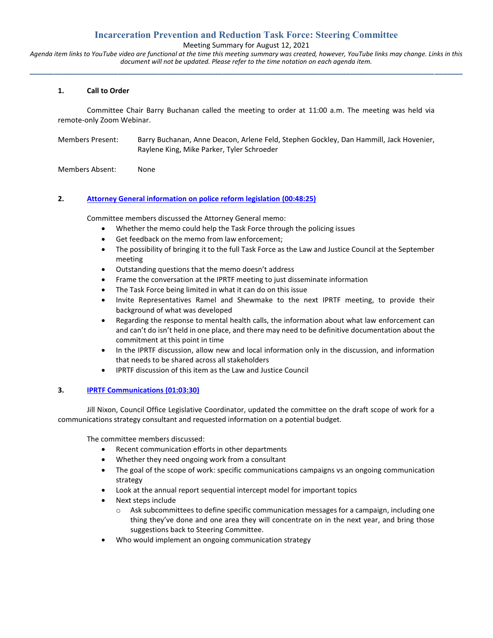# **Incarceration Prevention and Reduction Task Force: Steering Committee**

Meeting Summary for August 12, 2021

*Agenda item links to YouTube video are functional at the time this meeting summary was created, however, YouTube links may change. Links in this document will not be updated. Please refer to the time notation on each agenda item.* **\_\_\_\_\_\_\_\_\_\_\_\_\_\_\_\_\_\_\_\_\_\_\_\_\_\_\_\_\_\_\_\_\_\_\_\_\_\_\_\_\_\_\_\_\_\_\_\_\_\_\_\_\_\_\_\_\_\_\_\_\_\_\_\_\_\_\_\_\_\_\_\_\_\_\_\_\_\_\_\_\_\_\_\_\_\_\_\_\_\_\_\_\_\_\_\_\_\_\_\_\_\_\_\_\_\_\_\_**

### **1. Call to Order**

Committee Chair Barry Buchanan called the meeting to order at 11:00 a.m. The meeting was held via remote-only Zoom Webinar.

Members Present: Barry Buchanan, Anne Deacon, Arlene Feld, Stephen Gockley, Dan Hammill, Jack Hovenier, Raylene King, Mike Parker, Tyler Schroeder

Members Absent: None

### **2. [Attorney General information on police reform legislation](https://youtu.be/PljsYLoDsc8?t=2904) (00:48:25)**

Committee members discussed the Attorney General memo:

- Whether the memo could help the Task Force through the policing issues
- Get feedback on the memo from law enforcement;
- The possibility of bringing it to the full Task Force as the Law and Justice Council at the September meeting
- Outstanding questions that the memo doesn't address
- Frame the conversation at the IPRTF meeting to just disseminate information
- The Task Force being limited in what it can do on this issue
- Invite Representatives Ramel and Shewmake to the next IPRTF meeting, to provide their background of what was developed
- Regarding the response to mental health calls, the information about what law enforcement can and can't do isn't held in one place, and there may need to be definitive documentation about the commitment at this point in time
- In the IPRTF discussion, allow new and local information only in the discussion, and information that needs to be shared across all stakeholders
- IPRTF discussion of this item as the Law and Justice Council

### **3. [IPRTF Communications](https://youtu.be/PljsYLoDsc8?t=3810) (01:03:30)**

Jill Nixon, Council Office Legislative Coordinator, updated the committee on the draft scope of work for a communications strategy consultant and requested information on a potential budget.

The committee members discussed:

- Recent communication efforts in other departments
- Whether they need ongoing work from a consultant
- The goal of the scope of work: specific communications campaigns vs an ongoing communication strategy
- Look at the annual report sequential intercept model for important topics
- Next steps include
	- $\circ$  Ask subcommittees to define specific communication messages for a campaign, including one thing they've done and one area they will concentrate on in the next year, and bring those suggestions back to Steering Committee.
- Who would implement an ongoing communication strategy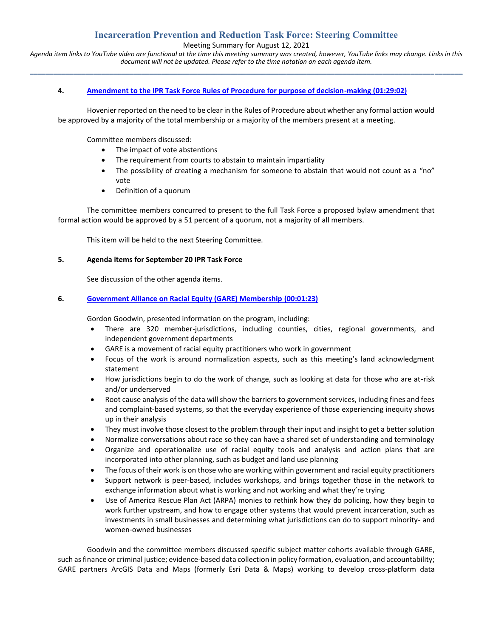# **Incarceration Prevention and Reduction Task Force: Steering Committee**

Meeting Summary for August 12, 2021

*Agenda item links to YouTube video are functional at the time this meeting summary was created, however, YouTube links may change. Links in this document will not be updated. Please refer to the time notation on each agenda item.* **\_\_\_\_\_\_\_\_\_\_\_\_\_\_\_\_\_\_\_\_\_\_\_\_\_\_\_\_\_\_\_\_\_\_\_\_\_\_\_\_\_\_\_\_\_\_\_\_\_\_\_\_\_\_\_\_\_\_\_\_\_\_\_\_\_\_\_\_\_\_\_\_\_\_\_\_\_\_\_\_\_\_\_\_\_\_\_\_\_\_\_\_\_\_\_\_\_\_\_\_\_\_\_\_\_\_\_\_**

### **4. [Amendment to the IPR Task Force Rules of Procedure for purpose of decision-making](https://youtu.be/PljsYLoDsc8?t=4867) (01:29:02)**

Hovenier reported on the need to be clear in the Rules of Procedure about whether any formal action would be approved by a majority of the total membership or a majority of the members present at a meeting.

Committee members discussed:

- The impact of vote abstentions
- The requirement from courts to abstain to maintain impartiality
- The possibility of creating a mechanism for someone to abstain that would not count as a "no" vote
- Definition of a quorum

The committee members concurred to present to the full Task Force a proposed bylaw amendment that formal action would be approved by a 51 percent of a quorum, not a majority of all members.

This item will be held to the next Steering Committee.

#### **5. Agenda items for September 20 IPR Task Force**

See discussion of the other agenda items.

### **6. [Government Alliance on Racial Equity \(GARE\) Membership](https://youtu.be/PljsYLoDsc8?t=82) (00:01:23)**

Gordon Goodwin, presented information on the program, including:

- There are 320 member-jurisdictions, including counties, cities, regional governments, and independent government departments
- GARE is a movement of racial equity practitioners who work in government
- Focus of the work is around normalization aspects, such as this meeting's land acknowledgment statement
- How jurisdictions begin to do the work of change, such as looking at data for those who are at-risk and/or underserved
- Root cause analysis of the data will show the barriers to government services, including fines and fees and complaint-based systems, so that the everyday experience of those experiencing inequity shows up in their analysis
- They must involve those closest to the problem through their input and insight to get a better solution
- Normalize conversations about race so they can have a shared set of understanding and terminology
- Organize and operationalize use of racial equity tools and analysis and action plans that are incorporated into other planning, such as budget and land use planning
- The focus of their work is on those who are working within government and racial equity practitioners
- Support network is peer-based, includes workshops, and brings together those in the network to exchange information about what is working and not working and what they're trying
- Use of America Rescue Plan Act (ARPA) monies to rethink how they do policing, how they begin to work further upstream, and how to engage other systems that would prevent incarceration, such as investments in small businesses and determining what jurisdictions can do to support minority- and women-owned businesses

Goodwin and the committee members discussed specific subject matter cohorts available through GARE, such as finance or criminal justice; evidence-based data collection in policy formation, evaluation, and accountability; GARE partners ArcGIS Data and Maps (formerly Esri Data & Maps) working to develop cross-platform data